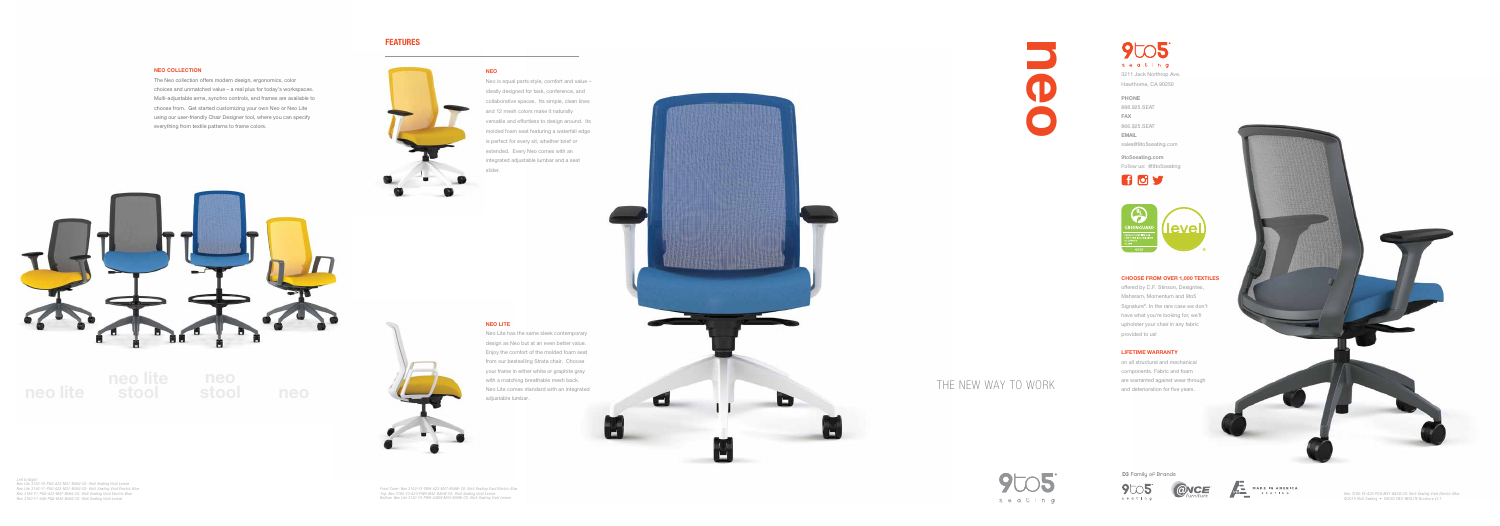## FEATURES

## CHOOSE FROM OVER 1,000 TEXTILES

offered by C.F. Stinson, Designtex, Maharam, Momentum and 9to5 Signature<sup>®</sup>. In the rare case we don't have what you're looking for, we'll upholster your chair in any fabric provided to us!

## LIFETIME WARRANTY

on all structural and mechanical components. Fabric and foam are warranted against wear through





*Left to Right: Neo Lite 3150-Y3-PGG-A23-M31-BA9G-C6; 9to5 Seating Vivid Lemon Neo Lite 3156-Y1-PGG-A23-M31-BA9G-C6- 9to5 Seating Vivid Electric Blue Neo 3166-Y1-PGG-A23-M47-BA9G-C6; 9to5 Seating Vivid Electric Blue Neo 3160-Y1-A46-PGG-M42-BA9G-C6; 9to5 Seating Vivid Lemon*

*Front Cover: Neo 3160-Y3-PWH-A23-M47-BA9W-C6; 9to5 Seating Vivid Electric Blue Top: Neo 3160-Y3-A23-PWH-M42-BA9W-C6; 9to5 Seating Vivid Lemon Bottom: Neo Lite 3150-Y3-PWH-A46W-M33-BA9W-C6: 9to5 Seating Vivid Lemon*







Neo is equal parts style, comfort and value – ideally designed for task, conference, and collaborative spaces. Its simple, clean lines and 12 mesh colors make it naturally versatile and effortless to design around. Its molded foam seat featuring a waterfall edge is perfect for every sit, whether brief or extended. Every Neo comes with an integrated adjustable lumbar and a seat slider.



NEO LITE

Neo Lite has the same sleek contemporary design as Neo but at an even better value. Enjoy the comfort of the molded foam seat from our bestselling Strata chair. Choose your frame in either white or graphite gray with a matching breathable mesh back. Neo Lite comes standard with an integrated adjustable lumbar.

D3 Family of Brands











MADE IN AMERICA



PHONE

888.925.SEAT FAX 866.925.SEAT EMAIL sales@9to5seating.com

9to5seating.com Follow us: @9to5seating



### NEO COLLECTION

The Neo collection offers modern design, ergonomics, color choices and unmatched value – a real plus for today's workspaces. Multi-adjustable arms, synchro controls, and frames are available to choose from. Get started customizing your own Neo or Neo Lite using our user-friendly Chair Designer tool, where you can specify everything from textile patterns to frame colors.



## **NEO**